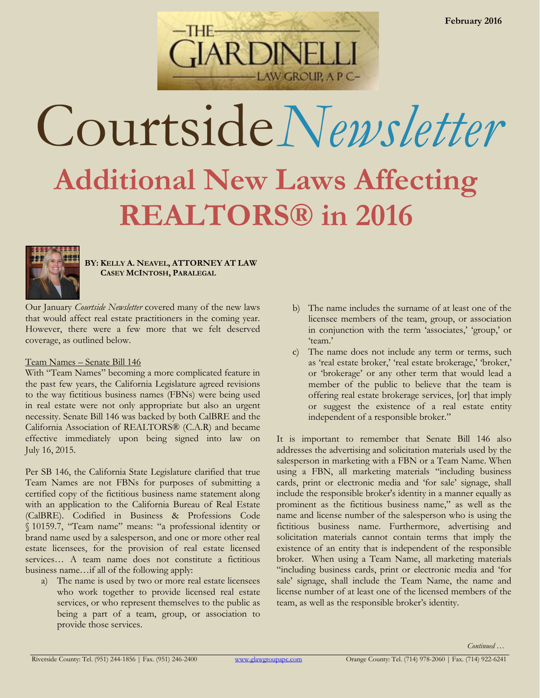

# Courtside*Newsletter* **Additional New Laws Affecting REALTORS® in 2016**



**BY: KELLY A. NEAVEL, ATTORNEY AT LAW CASEY MCINTOSH, PARALEGAL**

Our January *Courtside Newsletter* covered many of the new laws that would affect real estate practitioners in the coming year. However, there were a few more that we felt deserved coverage, as outlined below.

## Team Names – Senate Bill 146

With "Team Names" becoming a more complicated feature in the past few years, the California Legislature agreed revisions to the way fictitious business names (FBNs) were being used in real estate were not only appropriate but also an urgent necessity. Senate Bill 146 was backed by both CalBRE and the California Association of REALTORS® (C.A.R) and became effective immediately upon being signed into law on July 16, 2015.

Per SB 146, the California State Legislature clarified that true Team Names are not FBNs for purposes of submitting a certified copy of the fictitious business name statement along with an application to the California Bureau of Real Estate (CalBRE). Codified in Business & Professions Code § 10159.7, "Team name" means: "a professional identity or brand name used by a salesperson, and one or more other real estate licensees, for the provision of real estate licensed services... A team name does not constitute a fictitious business name…if all of the following apply:

a) The name is used by two or more real estate licensees who work together to provide licensed real estate services, or who represent themselves to the public as being a part of a team, group, or association to provide those services.

- b) The name includes the surname of at least one of the licensee members of the team, group, or association in conjunction with the term 'associates,' 'group,' or 'team.'
- c) The name does not include any term or terms, such as 'real estate broker,' 'real estate brokerage,' 'broker,' or 'brokerage' or any other term that would lead a member of the public to believe that the team is offering real estate brokerage services, [or] that imply or suggest the existence of a real estate entity independent of a responsible broker."

It is important to remember that Senate Bill 146 also addresses the advertising and solicitation materials used by the salesperson in marketing with a FBN or a Team Name. When using a FBN, all marketing materials "including business cards, print or electronic media and 'for sale' signage, shall include the responsible broker's identity in a manner equally as prominent as the fictitious business name," as well as the name and license number of the salesperson who is using the fictitious business name. Furthermore, advertising and solicitation materials cannot contain terms that imply the existence of an entity that is independent of the responsible broker. When using a Team Name, all marketing materials "including business cards, print or electronic media and 'for sale' signage, shall include the Team Name, the name and license number of at least one of the licensed members of the team, as well as the responsible broker's identity.